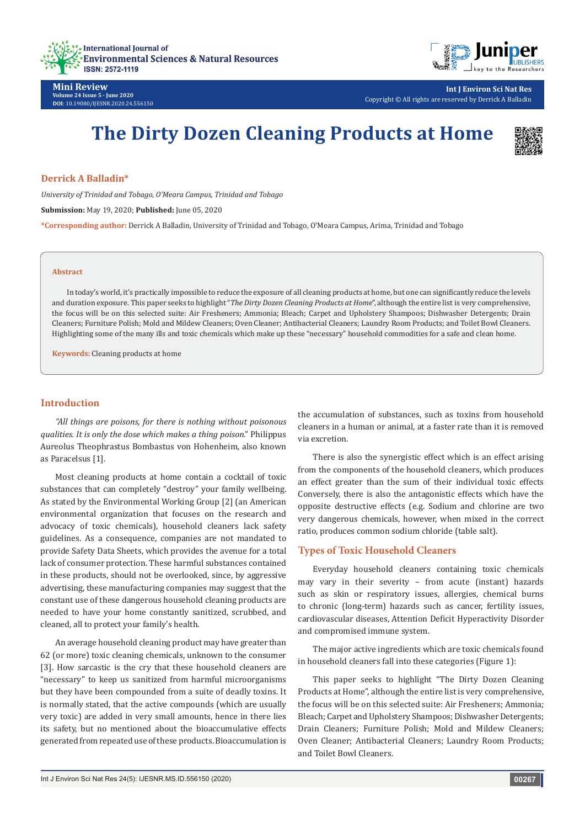



# **The Dirty Dozen Cleaning Products at Home**



# **Derrick A Balladin\***

*University of Trinidad and Tobago, O'Meara Campus, Trinidad and Tobago*

**Submission:** May 19, 2020; **Published:** June 05, 2020

**\*Corresponding author:** Derrick A Balladin, University of Trinidad and Tobago, O'Meara Campus, Arima, Trinidad and Tobago

#### **Abstract**

In today's world, it's practically impossible to reduce the exposure of all cleaning products at home, but one can significantly reduce the levels and duration exposure. This paper seeks to highlight "*The Dirty Dozen Cleaning Products at Home*", although the entire list is very comprehensive, the focus will be on this selected suite: Air Fresheners; Ammonia; Bleach; Carpet and Upholstery Shampoos; Dishwasher Detergents; Drain Cleaners; Furniture Polish; Mold and Mildew Cleaners; Oven Cleaner; Antibacterial Cleaners; Laundry Room Products; and Toilet Bowl Cleaners. Highlighting some of the many ills and toxic chemicals which make up these "necessary" household commodities for a safe and clean home.

**Keywords:** Cleaning products at home

# **Introduction**

*"All things are poisons, for there is nothing without poisonous qualities. It is only the dose which makes a thing poison*." Philippus Aureolus Theophrastus Bombastus von Hohenheim, also known as Paracelsus [1].

Most cleaning products at home contain a cocktail of toxic substances that can completely "destroy" your family wellbeing. As stated by the [Environmental Working Group](http://www.ewg.org/) [2] (an American environmental organization that focuses on the research and advocacy of toxic chemicals), household cleaners lack safety guidelines. As a consequence, companies are not mandated to provide Safety Data Sheets, which provides the avenue for a total lack of consumer protection. These harmful substances contained in these products, should not be overlooked, since, by aggressive advertising, these manufacturing companies may suggest that the constant use of these dangerous household cleaning products are needed to have your home constantly sanitized, scrubbed, and cleaned, all to protect your family's health.

An average household cleaning product may have greater than 62 (or more) toxic cleaning chemicals, unknown to the consumer [3]. How sarcastic is the cry that these household cleaners are "necessary" to keep us sanitized from harmful microorganisms but they have been compounded from a suite of deadly toxins. It is normally stated, that the active compounds (which are usually very toxic) are added in very small amounts, hence in there lies its safety, but no mentioned about the bioaccumulative effects generated from repeated use of these products. Bioaccumulation is

the accumulation of substances, such as toxins from household cleaners in a human or animal, at a faster rate than it is removed via excretion.

There is also the synergistic effect which is an effect arising from the components of the household cleaners, which produces an effect greater than the sum of their individual toxic effects Conversely, there is also the antagonistic effects which have the opposite destructive effects (e.g. Sodium and chlorine are two very dangerous chemicals, however, when mixed in the correct ratio, produces common sodium chloride (table salt).

# **Types of Toxic Household Cleaners**

Everyday household cleaners containing toxic chemicals may vary in their severity – from acute (instant) hazards such as skin or respiratory issues, allergies, chemical burns to chronic (long-term) hazards such as cancer, fertility issues, cardiovascular diseases, Attention Deficit Hyperactivity Disorder and compromised immune system.

The major active ingredients which are toxic chemicals found in household cleaners fall into these categories (Figure 1):

This paper seeks to highlight "The Dirty Dozen Cleaning Products at Home", although the entire list is very comprehensive, the focus will be on this selected suite: Air Fresheners; Ammonia; Bleach; Carpet and Upholstery Shampoos; Dishwasher Detergents; Drain Cleaners; Furniture Polish; Mold and Mildew Cleaners; Oven Cleaner; Antibacterial Cleaners; Laundry Room Products; and Toilet Bowl Cleaners.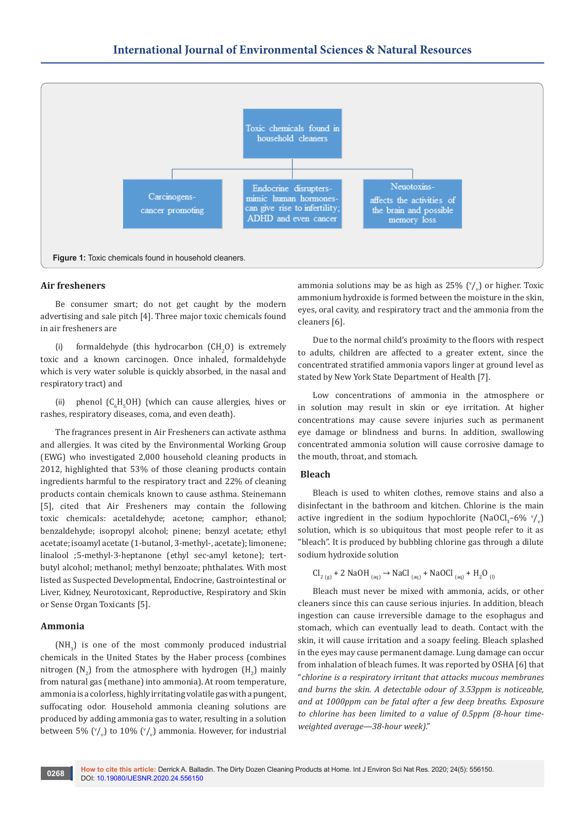

#### **Air fresheners**

Be consumer smart; do not get caught by the modern advertising and sale pitch [4]. Three major toxic chemicals found in air fresheners are

(i) formaldehyde (this hydrocarbon  $(CH_2O)$  is extremely toxic and a known carcinogen. Once inhaled, formaldehyde which is very water soluble is quickly absorbed, in the nasal and respiratory tract) and

(ii) phenol  $(C_6H_5OH)$  {which can cause allergies, hives or rashes, respiratory diseases, coma, and even death}.

The fragrances present in Air Fresheners can activate asthma and allergies. It was cited by the Environmental Working Group (EWG) who investigated 2,000 household cleaning products in 2012, highlighted that 53% of those cleaning products contain ingredients harmful to the respiratory tract and 22% of cleaning products contain chemicals known to cause asthma. Steinemann [5], cited that Air Fresheners may contain the following toxic chemicals: acetaldehyde; acetone; camphor; ethanol; benzaldehyde; isopropyl alcohol; pinene; benzyl acetate; ethyl acetate; isoamyl acetate (1-butanol, 3-methyl-, acetate); limonene; linalool ;5-methyl-3-heptanone (ethyl sec-amyl ketone); tertbutyl alcohol; methanol; methyl benzoate; phthalates. With most listed as Suspected Developmental, Endocrine, Gastrointestinal or Liver, Kidney, Neurotoxicant, Reproductive, Respiratory and Skin or Sense Organ Toxicants [5].

# **Ammonia**

 $(MH<sub>3</sub>)$  is one of the most commonly produced industrial chemicals in the United States by the Haber process (combines nitrogen  $(N_2)$  from the atmosphere with hydrogen  $(H_2)$  mainly from natural gas (methane) into ammonia). At room temperature, ammonia is a colorless, highly irritating volatile gas with a pungent, suffocating odor. Household ammonia cleaning solutions are produced by adding ammonia gas to water, resulting in a solution between 5% ( $\binom{v}{v}$  to 10% ( $\binom{v}{v}$ ) ammonia. However, for industrial ammonia solutions may be as high as  $25\%$  ( $\sqrt[v]{y}$ ) or higher. Toxic ammonium hydroxide is formed between the moisture in the skin, eyes, oral cavity, and respiratory tract and the ammonia from the cleaners [6].

Due to the normal child's proximity to the floors with respect to adults, children are affected to a greater extent, since the concentrated stratified ammonia vapors linger at ground level as stated by New York State Department of Health [7].

Low concentrations of ammonia in the atmosphere or in solution may result in skin or eye irritation. At higher concentrations may cause severe injuries such as permanent eye damage or blindness and burns. In addition, swallowing concentrated ammonia solution will cause corrosive damage to the mouth, throat, and stomach.

#### **Bleach**

Bleach is used to whiten clothes, remove stains and also a disinfectant in the bathroom and kitchen. Chlorine is the main active ingredient in the sodium hypochlorite (NaOCl<sub>3</sub>–6%  $\sqrt[v]{v}$ ) solution, which is so ubiquitous that most people refer to it as "bleach". It is produced by bubbling chlorine gas through a dilute sodium hydroxide solution

$$
Cl_{2(g)} + 2 \text{ NaOH}_{(aq)} \rightarrow \text{NaCl}_{(aq)} + \text{NaOCl}_{(aq)} + H_2O_{(l)}
$$

Bleach must never be mixed with ammonia, acids, or other cleaners since this can cause serious injuries. In addition, bleach ingestion can cause irreversible damage to the esophagus and stomach, which can eventually lead to death. Contact with the skin, it will cause irritation and a soapy feeling. Bleach splashed in the eyes may cause permanent damage. Lung damage can occur from inhalation of bleach fumes. It was reported by OSHA [6] that "*chlorine is a respiratory irritant that attacks mucous membranes and burns the skin. A detectable odour of 3.53ppm is noticeable, and at 1000ppm can be fatal after a few deep breaths. Exposure to chlorine has been limited to a value of 0.5ppm (8-hour timeweighted average—38-hour week)*."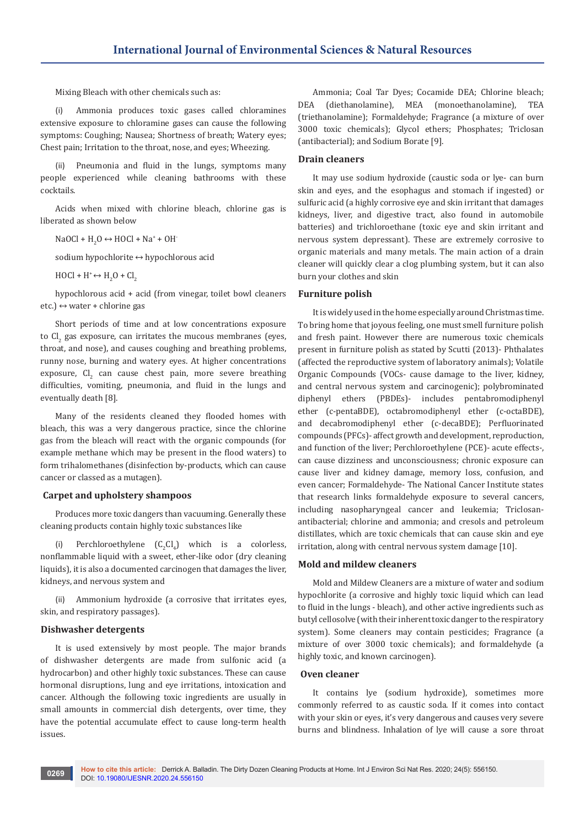Mixing Bleach with other chemicals such as:

(i) Ammonia produces toxic gases called chloramines extensive exposure to chloramine gases can cause the following symptoms: Coughing; Nausea; Shortness of breath; Watery eyes; Chest pain; Irritation to the throat, nose, and eyes; Wheezing.

(ii) Pneumonia and fluid in the lungs, symptoms many people experienced while cleaning bathrooms with these cocktails.

Acids when mixed with chlorine bleach, chlorine gas is liberated as shown below

NaOCl +  $H_2O \leftrightarrow HOCl + Na^* + OH^-$ 

sodium hypochlorite ↔ hypochlorous acid

 $H OCl + H^* \leftrightarrow H_2 O + Cl_2$ 

hypochlorous acid + acid (from vinegar, toilet bowl cleaners etc.)  $\leftrightarrow$  water + chlorine gas

Short periods of time and at low concentrations exposure to  $\mathrm{CI}_2$  gas exposure, can irritates the mucous membranes (eyes, throat, and nose), and causes coughing and breathing problems, runny nose, burning and watery eyes. At higher concentrations exposure,  $Cl_2$  can cause chest pain, more severe breathing difficulties, vomiting, pneumonia, and fluid in the lungs and eventually death [8].

Many of the residents cleaned they flooded homes with bleach, this was a very dangerous practice, since the chlorine gas from the bleach will react with the organic compounds (for example methane which may be present in the flood waters) to form trihalomethanes (disinfection by-products, which can cause cancer or classed as a mutagen).

### **Carpet and upholstery shampoos**

Produces more toxic dangers than vacuuming. Generally these cleaning products contain highly toxic substances like

(i) Perchloroethylene  $(C_2Cl_4)$  which is a colorless, nonflammable liquid with a sweet, ether-like odor (dry cleaning liquids), it is also a documented carcinogen that damages the liver, kidneys, and nervous system and

Ammonium hydroxide (a corrosive that irritates eyes, skin, and respiratory passages).

# **Dishwasher detergents**

It is used extensively by most people. The major brands of dishwasher detergents are made from sulfonic acid (a hydrocarbon) and other highly toxic substances. These can cause hormonal disruptions, lung and eye irritations, intoxication and cancer. Although the following toxic ingredients are usually in small amounts in commercial dish detergents, over time, they have the potential accumulate effect to cause long-term health issues.

Ammonia; Coal Tar Dyes; Cocamide DEA; Chlorine bleach; DEA (diethanolamine), MEA (monoethanolamine), TEA (triethanolamine); Formaldehyde; Fragrance (a mixture of over 3000 toxic chemicals); Glycol ethers; Phosphates; Triclosan (antibacterial); and Sodium Borate [9].

#### **Drain cleaners**

It may use sodium hydroxide (caustic soda or lye- can burn skin and eyes, and the esophagus and stomach if ingested) or sulfuric acid (a highly corrosive eye and skin irritant that damages kidneys, liver, and digestive tract, also found in automobile batteries) and trichloroethane (toxic eye and skin irritant and nervous system depressant). These are extremely corrosive to organic materials and many metals. The main action of a drain cleaner will quickly clear a clog plumbing system, but it can also burn your clothes and skin

#### **Furniture polish**

Itis widely used in the home especially around Christmas time. To bring home that joyous feeling, one must smell furniture polish and fresh paint. However there are numerous toxic chemicals present in furniture polish as stated by Scutti (2013)- Phthalates (affected the reproductive system of laboratory animals); Volatile Organic Compounds (VOCs- cause damage to the liver, kidney, and central nervous system and carcinogenic); polybrominated diphenyl ethers (PBDEs)- includes pentabromodiphenyl ether (c-pentaBDE), octabromodiphenyl ether (c-octaBDE), and decabromodiphenyl ether (c-decaBDE); Perfluorinated compounds (PFCs)- affect growth and development, reproduction, and function of the liver; Perchloroethylene (PCE)- acute effects-, can cause dizziness and unconsciousness; chronic exposure can cause liver and kidney damage, memory loss, confusion, and even cancer; Formaldehyde- The National Cancer Institute states that research links formaldehyde exposure to several cancers, including nasopharyngeal cancer and leukemia; Triclosanantibacterial; chlorine and ammonia; and cresols and petroleum distillates, which are toxic chemicals that can cause skin and eye irritation, along with central nervous system damage [10].

# **Mold and mildew cleaners**

Mold and Mildew Cleaners are a mixture of water and sodium hypochlorite (a corrosive and highly toxic liquid which can lead to fluid in the lungs - bleach), and other active ingredients such as butyl cellosolve (with their inherent toxic danger to the respiratory system). Some cleaners may contain pesticides; Fragrance (a mixture of over 3000 toxic chemicals); and formaldehyde (a highly toxic, and known carcinogen).

#### **Oven cleaner**

It contains lye (sodium hydroxide), sometimes more commonly referred to as caustic soda. If it comes into contact with your skin or eyes, it's very dangerous and causes very severe burns and blindness. Inhalation of lye will cause a sore throat